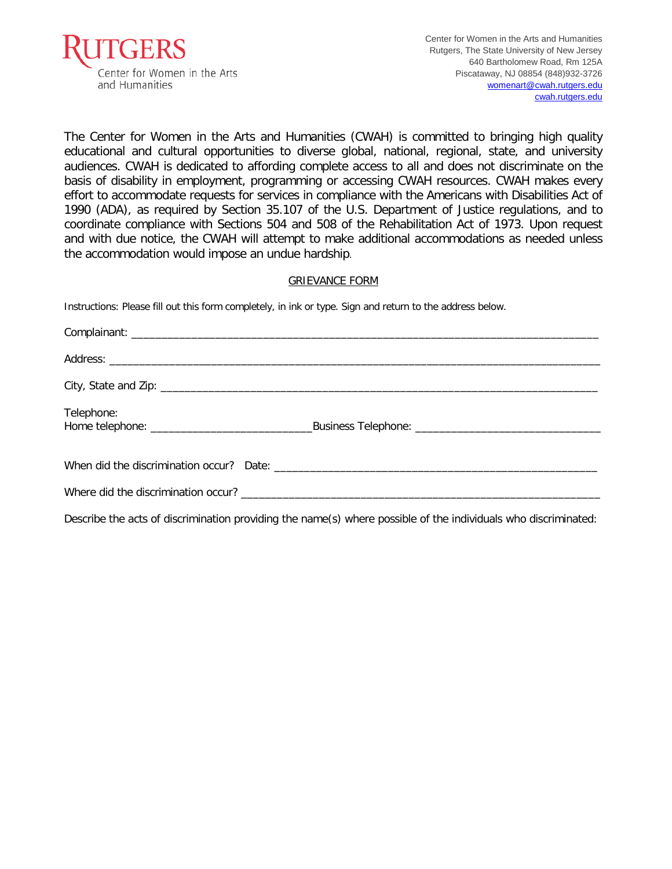

The Center for Women in the Arts and Humanities (CWAH) is committed to bringing high quality educational and cultural opportunities to diverse global, national, regional, state, and university audiences. CWAH is dedicated to affording complete access to all and does not discriminate on the basis of disability in employment, programming or accessing CWAH resources. CWAH makes every effort to accommodate requests for services in compliance with the Americans with Disabilities Act of 1990 (ADA), as required by Section 35.107 of the U.S. Department of Justice regulations, and to coordinate compliance with Sections 504 and 508 of the Rehabilitation Act of 1973. Upon request and with due notice, the CWAH will attempt to make additional accommodations as needed unless the accommodation would impose an undue hardship.

## GRIEVANCE FORM

Instructions: Please fill out this form completely, in ink or type. Sign and return to the address below.

| Telephone: |  |
|------------|--|
|            |  |
|            |  |

Describe the acts of discrimination providing the name(s) where possible of the individuals who discriminated: